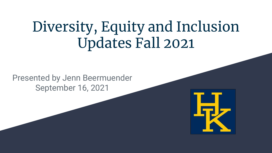# Diversity, Equity and Inclusion Updates Fall 2021

Presented by Jenn Beermuender September 16, 2021

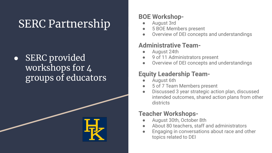# SERC Partnership

• SERC provided workshops for 4 groups of educators



#### **BOE Workshop-**

- August 3rd
- 5 BOE Members present
- Overview of DEI concepts and understandings

#### **Administrative Team-**

- August 24th
- 9 of 11 Administrators present
- Overview of DEI concepts and understandings

#### **Equity Leadership Team-**

- August 6th
- 5 of 7 Team Members present
- Discussed 3 year strategic action plan, discussed intended outcomes, shared action plans from other districts

#### **Teacher Workshops-**

- August 30th, October 8th
- About 80 teachers, staff and administrators
- Engaging in conversations about race and other topics related to DEI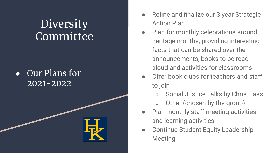# **Diversity** Committee

### ● Our Plans for 2021-2022



- Refine and finalize our 3 year Strategic Action Plan
- Plan for monthly celebrations around heritage months, providing interesting facts that can be shared over the announcements, books to be read aloud and activities for classrooms
- Offer book clubs for teachers and staff to join
	- Social Justice Talks by Chris Haas
	- Other (chosen by the group)
- Plan monthly staff meeting activities and learning activities
- Continue Student Equity Leadership **Meeting**